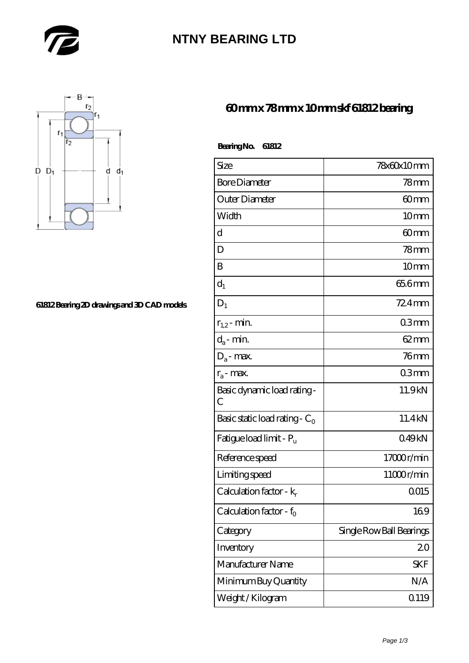

# **[NTNY BEARING LTD](https://m.abetteryeartoabetterlife.com)**



#### **[61812 Bearing 2D drawings and 3D CAD models](https://m.abetteryeartoabetterlife.com/pic-413964.html)**

### **[60 mm x 78 mm x 10 mm skf 61812 bearing](https://m.abetteryeartoabetterlife.com/skf-bearing/skf-61812/)**

| <b>BearingNo.</b> | 61812 |
|-------------------|-------|
|-------------------|-------|

| Size                                | 78x60x10mm               |
|-------------------------------------|--------------------------|
| <b>Bore Diameter</b>                | 78 <sub>mm</sub>         |
| Outer Diameter                      | 60mm                     |
| Width                               | 10 <sub>mm</sub>         |
| d                                   | 60mm                     |
| D                                   | $78$ mm                  |
| B                                   | 10 <sub>mm</sub>         |
| $d_1$                               | 65.6mm                   |
| $D_1$                               | $724$ mm                 |
| $r_{1,2}$ - min.                    | 03mm                     |
| $d_a$ - min.                        | $62 \text{mm}$           |
| $D_a$ - max.                        | $76$ mm                  |
| $r_a$ - max.                        | 03mm                     |
| Basic dynamic load rating-<br>С     | 11.9kN                   |
| Basic static load rating - $C_0$    | 11.4kN                   |
| Fatigue load limit - P <sub>u</sub> | 049kN                    |
| Reference speed                     | 17000r/min               |
| Limiting speed                      | 11000r/min               |
| Calculation factor - $k_r$          | Q015                     |
| Calculation factor - f <sub>0</sub> | 169                      |
| Category                            | Single Row Ball Bearings |
| Inventory                           | 20                       |
| Manufacturer Name                   | <b>SKF</b>               |
| Minimum Buy Quantity                | N/A                      |
| Weight / Kilogram                   | Q119                     |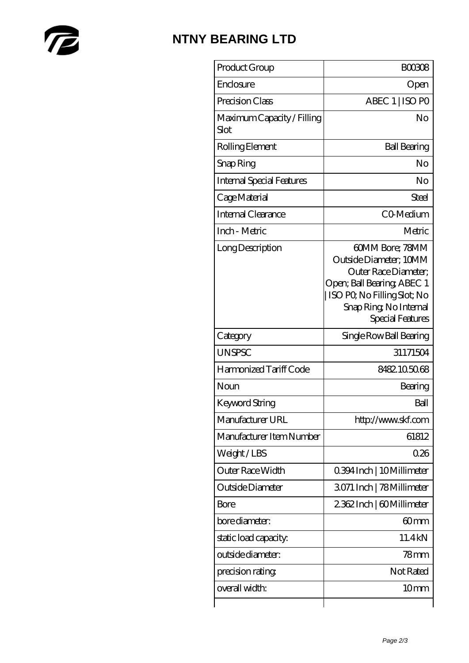

# **[NTNY BEARING LTD](https://m.abetteryeartoabetterlife.com)**

| Product Group                      | <b>BOO308</b>                                                                                                                                                                |
|------------------------------------|------------------------------------------------------------------------------------------------------------------------------------------------------------------------------|
| Enclosure                          | Open                                                                                                                                                                         |
| Precision Class                    | ABEC 1   ISO PO                                                                                                                                                              |
| Maximum Capacity / Filling<br>Slot | No                                                                                                                                                                           |
| Rolling Element                    | <b>Ball Bearing</b>                                                                                                                                                          |
| Snap Ring                          | No                                                                                                                                                                           |
| <b>Internal Special Features</b>   | No                                                                                                                                                                           |
| Cage Material                      | Steel                                                                                                                                                                        |
| <b>Internal Clearance</b>          | CO-Medium                                                                                                                                                                    |
| Inch - Metric                      | Metric                                                                                                                                                                       |
| Long Description                   | 60MM Bore; 78MM<br>Outside Diameter: 10MM<br>Outer Race Diameter;<br>Open; Ball Bearing; ABEC 1<br>ISO PO, No Filling Slot; No<br>Snap Ring, No Internal<br>Special Features |
| Category                           | Single Row Ball Bearing                                                                                                                                                      |
| <b>UNSPSC</b>                      | 31171504                                                                                                                                                                     |
| Harmonized Tariff Code             | 8482105068                                                                                                                                                                   |
| Noun                               | Bearing                                                                                                                                                                      |
| Keyword String                     | Ball                                                                                                                                                                         |
| Manufacturer URL                   | http://www.skf.com                                                                                                                                                           |
| Manufacturer Item Number           | 61812                                                                                                                                                                        |
| Weight/LBS                         | 0.26                                                                                                                                                                         |
| <b>Outer Race Width</b>            | 0.394 Inch   10 Millimeter                                                                                                                                                   |
| Outside Diameter                   | 3071 Inch   78 Millimeter                                                                                                                                                    |
| Bore                               | 2362Inch   60Millimeter                                                                                                                                                      |
| bore diameter:                     | 60 <sub>mm</sub>                                                                                                                                                             |
| static load capacity.              | 11.4kN                                                                                                                                                                       |
| outside diameter:                  | 78mm                                                                                                                                                                         |
| precision rating                   | Not Rated                                                                                                                                                                    |
| overall width:                     | 10 <sub>mm</sub>                                                                                                                                                             |